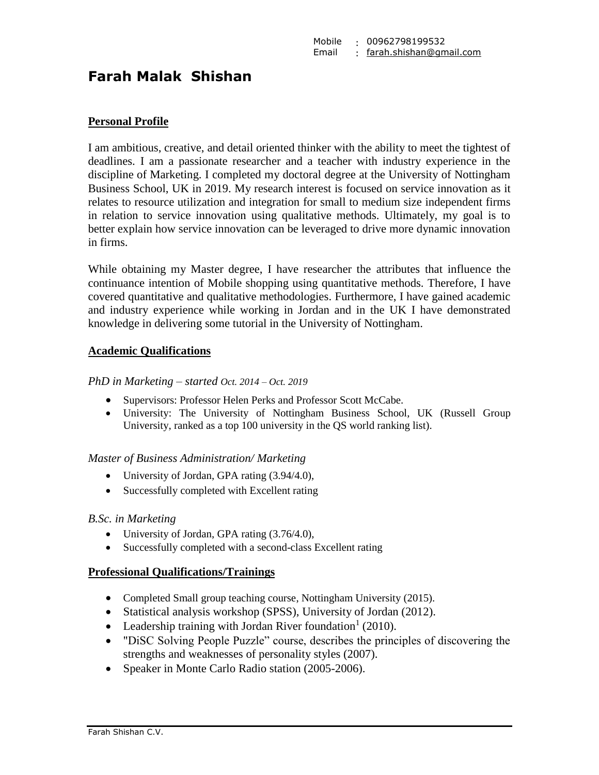# **Farah Malak Shishan**

## **Personal Profile**

I am ambitious, creative, and detail oriented thinker with the ability to meet the tightest of deadlines. I am a passionate researcher and a teacher with industry experience in the discipline of Marketing. I completed my doctoral degree at the University of Nottingham Business School, UK in 2019. My research interest is focused on service innovation as it relates to resource utilization and integration for small to medium size independent firms in relation to service innovation using qualitative methods. Ultimately, my goal is to better explain how service innovation can be leveraged to drive more dynamic innovation in firms.

While obtaining my Master degree, I have researcher the attributes that influence the continuance intention of Mobile shopping using quantitative methods. Therefore, I have covered quantitative and qualitative methodologies. Furthermore, I have gained academic and industry experience while working in Jordan and in the UK I have demonstrated knowledge in delivering some tutorial in the University of Nottingham.

#### **Academic Qualifications**

*PhD in Marketing – started Oct. 2014 – Oct. 2019*

- Supervisors: Professor Helen Perks and Professor Scott McCabe.
- University: The University of Nottingham Business School, UK (Russell Group University, ranked as a top 100 university in the QS world ranking list).

#### *Master of Business Administration/ Marketing*

- University of Jordan, GPA rating  $(3.94/4.0)$ ,
- Successfully completed with Excellent rating

#### *B.Sc. in Marketing*

- University of Jordan, GPA rating (3.76/4.0),
- Successfully completed with a second-class Excellent rating

#### **Professional Qualifications/Trainings**

- Completed Small group teaching course, Nottingham University (2015).
- Statistical analysis workshop (SPSS), University of Jordan (2012).
- Leadership training with Jordan River foundation<sup>1</sup> (2010).
- "DiSC Solving People Puzzle" course, describes the principles of discovering the strengths and weaknesses of personality styles (2007).
- Speaker in Monte Carlo Radio station (2005-2006).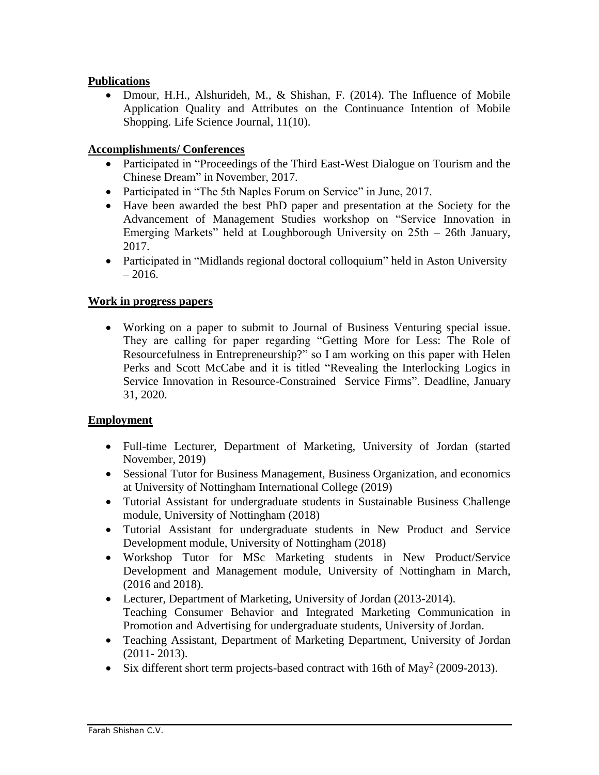# **Publications**

• Dmour, H.H., Alshurideh, M., & Shishan, F. (2014). The Influence of Mobile Application Quality and Attributes on the Continuance Intention of Mobile Shopping. Life Science Journal, 11(10).

# **Accomplishments/ Conferences**

- Participated in "Proceedings of the Third East-West Dialogue on Tourism and the Chinese Dream" in November, 2017.
- Participated in "The 5th Naples Forum on Service" in June, 2017.
- Have been awarded the best PhD paper and presentation at the Society for the Advancement of Management Studies workshop on "Service Innovation in Emerging Markets" held at Loughborough University on 25th – 26th January, 2017.
- Participated in "Midlands regional doctoral colloquium" held in Aston University  $-2016.$

# **Work in progress papers**

 Working on a paper to submit to Journal of Business Venturing special issue. They are calling for paper regarding "Getting More for Less: The Role of Resourcefulness in Entrepreneurship?" so I am working on this paper with Helen Perks and Scott McCabe and it is titled "Revealing the Interlocking Logics in Service Innovation in Resource-Constrained Service Firms". Deadline, January 31, 2020.

# **Employment**

- Full-time Lecturer, Department of Marketing, University of Jordan (started November, 2019)
- Sessional Tutor for Business Management, Business Organization, and economics at University of Nottingham International College (2019)
- Tutorial Assistant for undergraduate students in Sustainable Business Challenge module, University of Nottingham (2018)
- Tutorial Assistant for undergraduate students in New Product and Service Development module, University of Nottingham (2018)
- Workshop Tutor for MSc Marketing students in New Product/Service Development and Management module, University of Nottingham in March, (2016 and 2018).
- Lecturer, Department of Marketing, University of Jordan (2013-2014). Teaching Consumer Behavior and Integrated Marketing Communication in Promotion and Advertising for undergraduate students, University of Jordan.
- Teaching Assistant, Department of Marketing Department, University of Jordan (2011- 2013).
- $\bullet$  Six different short term projects-based contract with 16th of May<sup>2</sup> (2009-2013).